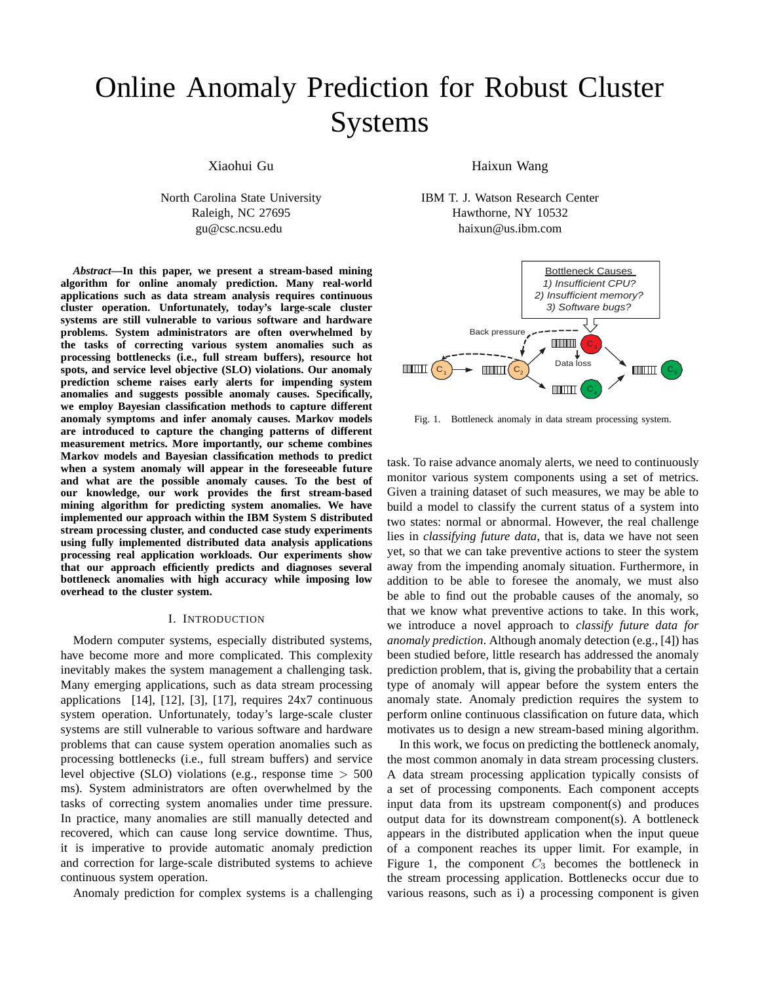# Online Anomaly Prediction for Robust Cluster Systems

Xiaohui Gu

North Carolina State University Raleigh, NC 27695 gu@csc.ncsu.edu

*Abstract***—In this paper, we present a stream-based mining algorithm for online anomaly prediction. Many real-world applications such as data stream analysis requires continuous cluster operation. Unfortunately, today's large-scale cluster systems are still vulnerable to various software and hardware problems. System administrators are often overwhelmed by the tasks of correcting various system anomalies such as processing bottlenecks (i.e., full stream buffers), resource hot spots, and service level objective (SLO) violations. Our anomaly prediction scheme raises early alerts for impending system anomalies and suggests possible anomaly causes. Specifically, we employ Bayesian classification methods to capture different anomaly symptoms and infer anomaly causes. Markov models are introduced to capture the changing patterns of different measurement metrics. More importantly, our scheme combines Markov models and Bayesian classification methods to predict when a system anomaly will appear in the foreseeable future and what are the possible anomaly causes. To the best of our knowledge, our work provides the first stream-based mining algorithm for predicting system anomalies. We have implemented our approach within the IBM System S distributed stream processing cluster, and conducted case study experiments using fully implemented distributed data analysis applications processing real application workloads. Our experiments show that our approach efficiently predicts and diagnoses several bottleneck anomalies with high accuracy while imposing low overhead to the cluster system.**

## I. INTRODUCTION

Modern computer systems, especially distributed systems, have become more and more complicated. This complexity inevitably makes the system management a challenging task. Many emerging applications, such as data stream processing applications [14], [12], [3], [17], requires 24x7 continuous system operation. Unfortunately, today's large-scale cluster systems are still vulnerable to various software and hardware problems that can cause system operation anomalies such as processing bottlenecks (i.e., full stream buffers) and service level objective (SLO) violations (e.g., response time  $> 500$ ms). System administrators are often overwhelmed by the tasks of correcting system anomalies under time pressure. In practice, many anomalies are still manually detected and recovered, which can cause long service downtime. Thus, it is imperative to provide automatic anomaly prediction and correction for large-scale distributed systems to achieve continuous system operation.

Anomaly prediction for complex systems is a challenging

Haixun Wang

IBM T. J. Watson Research Center Hawthorne, NY 10532 haixun@us.ibm.com



Fig. 1. Bottleneck anomaly in data stream processing system.

task. To raise advance anomaly alerts, we need to continuously monitor various system components using a set of metrics. Given a training dataset of such measures, we may be able to build a model to classify the current status of a system into two states: normal or abnormal. However, the real challenge lies in *classifying future data*, that is, data we have not seen yet, so that we can take preventive actions to steer the system away from the impending anomaly situation. Furthermore, in addition to be able to foresee the anomaly, we must also be able to find out the probable causes of the anomaly, so that we know what preventive actions to take. In this work, we introduce a novel approach to *classify future data for anomaly prediction*. Although anomaly detection (e.g., [4]) has been studied before, little research has addressed the anomaly prediction problem, that is, giving the probability that a certain type of anomaly will appear before the system enters the anomaly state. Anomaly prediction requires the system to perform online continuous classification on future data, which motivates us to design a new stream-based mining algorithm.

In this work, we focus on predicting the bottleneck anomaly, the most common anomaly in data stream processing clusters. A data stream processing application typically consists of a set of processing components. Each component accepts input data from its upstream component(s) and produces output data for its downstream component(s). A bottleneck appears in the distributed application when the input queue of a component reaches its upper limit. For example, in Figure 1, the component  $C_3$  becomes the bottleneck in the stream processing application. Bottlenecks occur due to various reasons, such as i) a processing component is given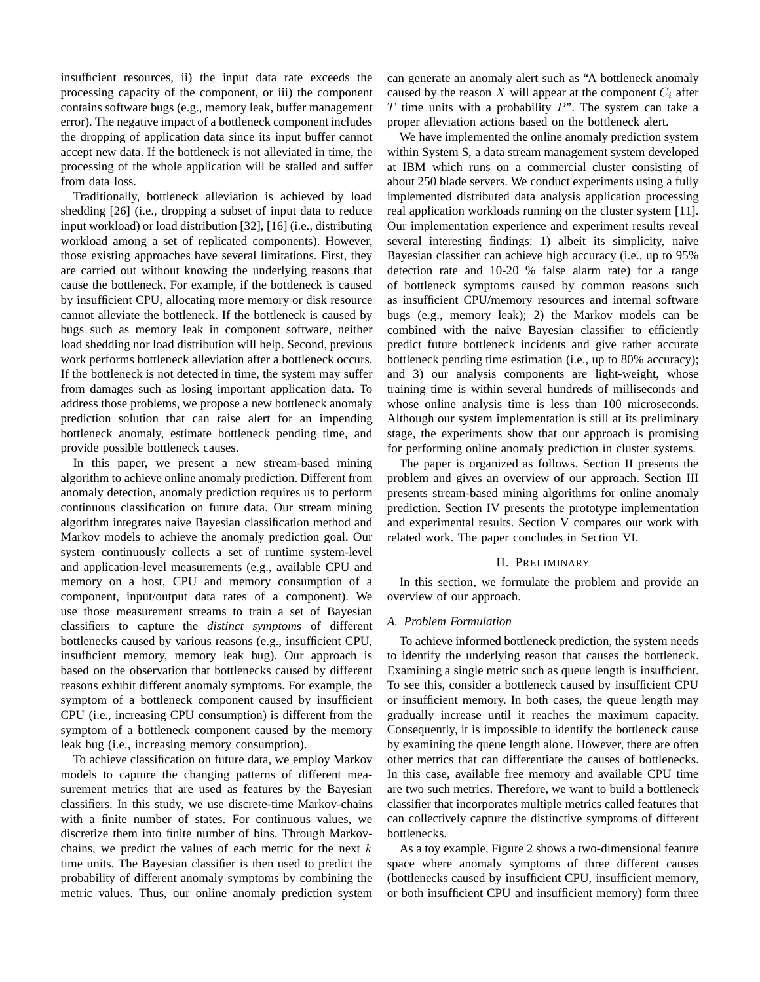insufficient resources, ii) the input data rate exceeds the processing capacity of the component, or iii) the component contains software bugs (e.g., memory leak, buffer management error). The negative impact of a bottleneck component includes the dropping of application data since its input buffer cannot accept new data. If the bottleneck is not alleviated in time, the processing of the whole application will be stalled and suffer from data loss.

Traditionally, bottleneck alleviation is achieved by load shedding [26] (i.e., dropping a subset of input data to reduce input workload) or load distribution [32], [16] (i.e., distributing workload among a set of replicated components). However, those existing approaches have several limitations. First, they are carried out without knowing the underlying reasons that cause the bottleneck. For example, if the bottleneck is caused by insufficient CPU, allocating more memory or disk resource cannot alleviate the bottleneck. If the bottleneck is caused by bugs such as memory leak in component software, neither load shedding nor load distribution will help. Second, previous work performs bottleneck alleviation after a bottleneck occurs. If the bottleneck is not detected in time, the system may suffer from damages such as losing important application data. To address those problems, we propose a new bottleneck anomaly prediction solution that can raise alert for an impending bottleneck anomaly, estimate bottleneck pending time, and provide possible bottleneck causes.

In this paper, we present a new stream-based mining algorithm to achieve online anomaly prediction. Different from anomaly detection, anomaly prediction requires us to perform continuous classification on future data. Our stream mining algorithm integrates naive Bayesian classification method and Markov models to achieve the anomaly prediction goal. Our system continuously collects a set of runtime system-level and application-level measurements (e.g., available CPU and memory on a host, CPU and memory consumption of a component, input/output data rates of a component). We use those measurement streams to train a set of Bayesian classifiers to capture the *distinct symptoms* of different bottlenecks caused by various reasons (e.g., insufficient CPU, insufficient memory, memory leak bug). Our approach is based on the observation that bottlenecks caused by different reasons exhibit different anomaly symptoms. For example, the symptom of a bottleneck component caused by insufficient CPU (i.e., increasing CPU consumption) is different from the symptom of a bottleneck component caused by the memory leak bug (i.e., increasing memory consumption).

To achieve classification on future data, we employ Markov models to capture the changing patterns of different measurement metrics that are used as features by the Bayesian classifiers. In this study, we use discrete-time Markov-chains with a finite number of states. For continuous values, we discretize them into finite number of bins. Through Markovchains, we predict the values of each metric for the next  $k$ time units. The Bayesian classifier is then used to predict the probability of different anomaly symptoms by combining the metric values. Thus, our online anomaly prediction system

can generate an anomaly alert such as "A bottleneck anomaly caused by the reason X will appear at the component  $C_i$  after T time units with a probability  $P$ ". The system can take a proper alleviation actions based on the bottleneck alert.

We have implemented the online anomaly prediction system within System S, a data stream management system developed at IBM which runs on a commercial cluster consisting of about 250 blade servers. We conduct experiments using a fully implemented distributed data analysis application processing real application workloads running on the cluster system [11]. Our implementation experience and experiment results reveal several interesting findings: 1) albeit its simplicity, naive Bayesian classifier can achieve high accuracy (i.e., up to 95% detection rate and 10-20 % false alarm rate) for a range of bottleneck symptoms caused by common reasons such as insufficient CPU/memory resources and internal software bugs (e.g., memory leak); 2) the Markov models can be combined with the naive Bayesian classifier to efficiently predict future bottleneck incidents and give rather accurate bottleneck pending time estimation (i.e., up to 80% accuracy); and 3) our analysis components are light-weight, whose training time is within several hundreds of milliseconds and whose online analysis time is less than 100 microseconds. Although our system implementation is still at its preliminary stage, the experiments show that our approach is promising for performing online anomaly prediction in cluster systems.

The paper is organized as follows. Section II presents the problem and gives an overview of our approach. Section III presents stream-based mining algorithms for online anomaly prediction. Section IV presents the prototype implementation and experimental results. Section V compares our work with related work. The paper concludes in Section VI.

#### II. PRELIMINARY

In this section, we formulate the problem and provide an overview of our approach.

## *A. Problem Formulation*

To achieve informed bottleneck prediction, the system needs to identify the underlying reason that causes the bottleneck. Examining a single metric such as queue length is insufficient. To see this, consider a bottleneck caused by insufficient CPU or insufficient memory. In both cases, the queue length may gradually increase until it reaches the maximum capacity. Consequently, it is impossible to identify the bottleneck cause by examining the queue length alone. However, there are often other metrics that can differentiate the causes of bottlenecks. In this case, available free memory and available CPU time are two such metrics. Therefore, we want to build a bottleneck classifier that incorporates multiple metrics called features that can collectively capture the distinctive symptoms of different bottlenecks.

As a toy example, Figure 2 shows a two-dimensional feature space where anomaly symptoms of three different causes (bottlenecks caused by insufficient CPU, insufficient memory, or both insufficient CPU and insufficient memory) form three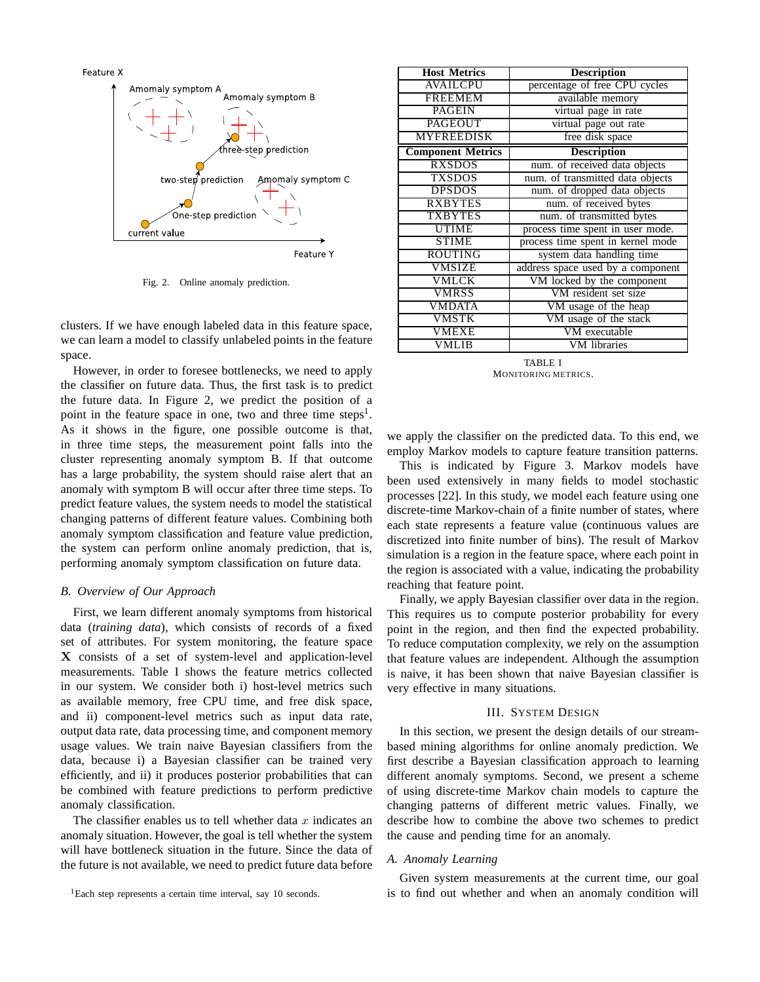Feature X



Fig. 2. Online anomaly prediction.

clusters. If we have enough labeled data in this feature space, we can learn a model to classify unlabeled points in the feature space.

However, in order to foresee bottlenecks, we need to apply the classifier on future data. Thus, the first task is to predict the future data. In Figure 2, we predict the position of a point in the feature space in one, two and three time steps<sup>1</sup>. As it shows in the figure, one possible outcome is that, in three time steps, the measurement point falls into the cluster representing anomaly symptom B. If that outcome has a large probability, the system should raise alert that an anomaly with symptom B will occur after three time steps. To predict feature values, the system needs to model the statistical changing patterns of different feature values. Combining both anomaly symptom classification and feature value prediction, the system can perform online anomaly prediction, that is, performing anomaly symptom classification on future data.

## *B. Overview of Our Approach*

First, we learn different anomaly symptoms from historical data (*training data*), which consists of records of a fixed set of attributes. For system monitoring, the feature space X consists of a set of system-level and application-level measurements. Table I shows the feature metrics collected in our system. We consider both i) host-level metrics such as available memory, free CPU time, and free disk space, and ii) component-level metrics such as input data rate, output data rate, data processing time, and component memory usage values. We train naive Bayesian classifiers from the data, because i) a Bayesian classifier can be trained very efficiently, and ii) it produces posterior probabilities that can be combined with feature predictions to perform predictive anomaly classification.

The classifier enables us to tell whether data  $x$  indicates an anomaly situation. However, the goal is tell whether the system will have bottleneck situation in the future. Since the data of the future is not available, we need to predict future data before

| <b>Host Metrics</b>      | <b>Description</b>                |
|--------------------------|-----------------------------------|
| <b>AVAILCPU</b>          | percentage of free CPU cycles     |
| <b>FREEMEM</b>           | available memory                  |
|                          |                                   |
| <b>PAGEIN</b>            | virtual page in rate              |
| <b>PAGEOUT</b>           | virtual page out rate             |
| <b>MYFREEDISK</b>        | free disk space                   |
| <b>Component Metrics</b> | <b>Description</b>                |
| <b>RXSDOS</b>            | num. of received data objects     |
| <b>TXSDOS</b>            | num. of transmitted data objects  |
| <b>DPSDOS</b>            | num. of dropped data objects      |
| <b>RXBYTES</b>           | num. of received bytes            |
| <b>TXBYTES</b>           | num. of transmitted bytes         |
| <b>UTIME</b>             | process time spent in user mode.  |
| <b>STIME</b>             | process time spent in kernel mode |
| <b>ROUTING</b>           | system data handling time         |
| VMSIZE                   | address space used by a component |
| <b>VMLCK</b>             | VM locked by the component        |
| <b>VMRSS</b>             | VM resident set size              |
| VMDATA                   | VM usage of the heap              |
| <b>VMSTK</b>             | VM usage of the stack             |
| VMĒXE                    | VM executable                     |
| VMLIB                    | <b>VM</b> libraries               |

TABLE I MONITORING METRICS.

we apply the classifier on the predicted data. To this end, we employ Markov models to capture feature transition patterns.

This is indicated by Figure 3. Markov models have been used extensively in many fields to model stochastic processes [22]. In this study, we model each feature using one discrete-time Markov-chain of a finite number of states, where each state represents a feature value (continuous values are discretized into finite number of bins). The result of Markov simulation is a region in the feature space, where each point in the region is associated with a value, indicating the probability reaching that feature point.

Finally, we apply Bayesian classifier over data in the region. This requires us to compute posterior probability for every point in the region, and then find the expected probability. To reduce computation complexity, we rely on the assumption that feature values are independent. Although the assumption is naive, it has been shown that naive Bayesian classifier is very effective in many situations.

## III. SYSTEM DESIGN

In this section, we present the design details of our streambased mining algorithms for online anomaly prediction. We first describe a Bayesian classification approach to learning different anomaly symptoms. Second, we present a scheme of using discrete-time Markov chain models to capture the changing patterns of different metric values. Finally, we describe how to combine the above two schemes to predict the cause and pending time for an anomaly.

## *A. Anomaly Learning*

Given system measurements at the current time, our goal is to find out whether and when an anomaly condition will

<sup>&</sup>lt;sup>1</sup>Each step represents a certain time interval, say 10 seconds.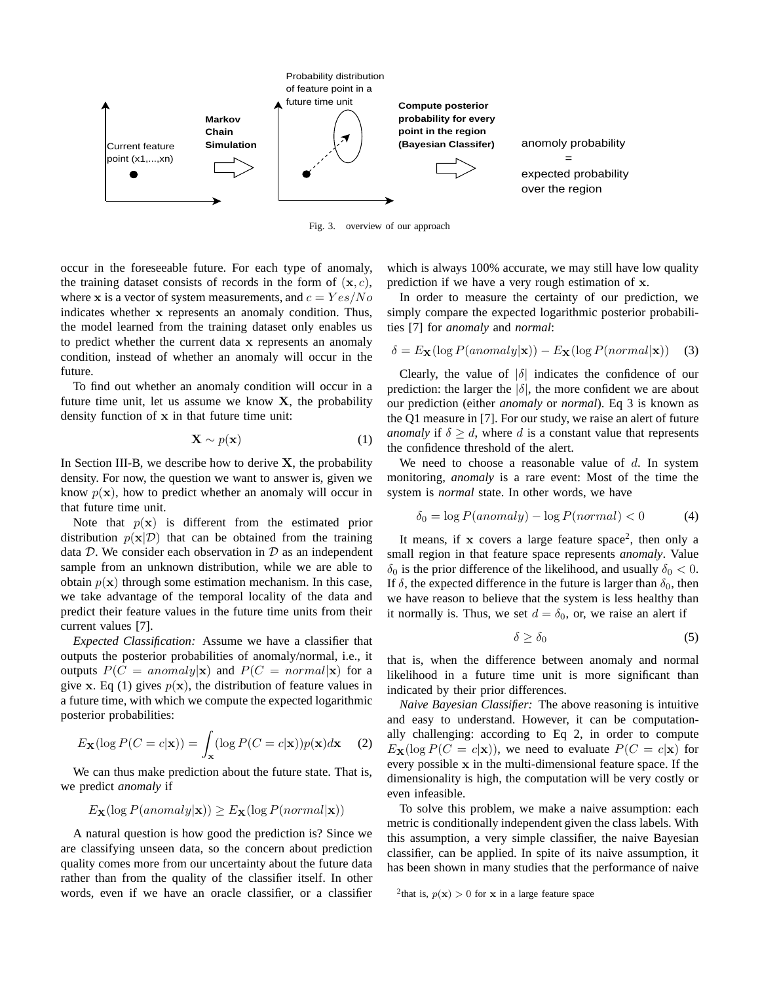

Fig. 3. overview of our approach

occur in the foreseeable future. For each type of anomaly, the training dataset consists of records in the form of  $(x, c)$ , where x is a vector of system measurements, and  $c = Yes/No$ indicates whether x represents an anomaly condition. Thus, the model learned from the training dataset only enables us to predict whether the current data x represents an anomaly condition, instead of whether an anomaly will occur in the future.

To find out whether an anomaly condition will occur in a future time unit, let us assume we know  $X$ , the probability density function of x in that future time unit:

$$
\mathbf{X} \sim p(\mathbf{x}) \tag{1}
$$

In Section III-B, we describe how to derive  $X$ , the probability density. For now, the question we want to answer is, given we know  $p(x)$ , how to predict whether an anomaly will occur in that future time unit.

Note that  $p(x)$  is different from the estimated prior distribution  $p(x|\mathcal{D})$  that can be obtained from the training data  $D$ . We consider each observation in  $D$  as an independent sample from an unknown distribution, while we are able to obtain  $p(x)$  through some estimation mechanism. In this case, we take advantage of the temporal locality of the data and predict their feature values in the future time units from their current values [7].

*Expected Classification:* Assume we have a classifier that outputs the posterior probabilities of anomaly/normal, i.e., it outputs  $P(C = anomaly|\mathbf{x})$  and  $P(C = normal|\mathbf{x})$  for a give x. Eq (1) gives  $p(x)$ , the distribution of feature values in a future time, with which we compute the expected logarithmic posterior probabilities:

$$
E_{\mathbf{X}}(\log P(C = c|\mathbf{x})) = \int_{\mathbf{x}} (\log P(C = c|\mathbf{x})) p(\mathbf{x}) d\mathbf{x} \quad (2)
$$

We can thus make prediction about the future state. That is, we predict *anomaly* if

$$
E_{\mathbf{X}}(\log P(anomaly|\mathbf{x})) \ge E_{\mathbf{X}}(\log P(normal|\mathbf{x}))
$$

A natural question is how good the prediction is? Since we are classifying unseen data, so the concern about prediction quality comes more from our uncertainty about the future data rather than from the quality of the classifier itself. In other words, even if we have an oracle classifier, or a classifier

which is always 100% accurate, we may still have low quality prediction if we have a very rough estimation of x.

In order to measure the certainty of our prediction, we simply compare the expected logarithmic posterior probabilities [7] for *anomaly* and *normal*:

$$
\delta = E_{\mathbf{X}}(\log P(anomally|\mathbf{x})) - E_{\mathbf{X}}(\log P(normal|\mathbf{x})) \quad (3)
$$

Clearly, the value of  $|\delta|$  indicates the confidence of our prediction: the larger the  $|\delta|$ , the more confident we are about our prediction (either *anomaly* or *normal*). Eq 3 is known as the Q1 measure in [7]. For our study, we raise an alert of future *anomaly* if  $\delta > d$ , where d is a constant value that represents the confidence threshold of the alert.

We need to choose a reasonable value of  $d$ . In system monitoring, *anomaly* is a rare event: Most of the time the system is *normal* state. In other words, we have

$$
\delta_0 = \log P(anomaly) - \log P(normal) < 0 \tag{4}
$$

It means, if  $x$  covers a large feature space<sup>2</sup>, then only a small region in that feature space represents *anomaly*. Value  $\delta_0$  is the prior difference of the likelihood, and usually  $\delta_0 < 0$ . If  $\delta$ , the expected difference in the future is larger than  $\delta_0$ , then we have reason to believe that the system is less healthy than it normally is. Thus, we set  $d = \delta_0$ , or, we raise an alert if

$$
\delta \ge \delta_0 \tag{5}
$$

that is, when the difference between anomaly and normal likelihood in a future time unit is more significant than indicated by their prior differences.

*Naive Bayesian Classifier:* The above reasoning is intuitive and easy to understand. However, it can be computationally challenging: according to Eq 2, in order to compute  $E_{\mathbf{X}}(\log P(C = c|\mathbf{x}))$ , we need to evaluate  $P(C = c|\mathbf{x})$  for every possible  $x$  in the multi-dimensional feature space. If the dimensionality is high, the computation will be very costly or even infeasible.

To solve this problem, we make a naive assumption: each metric is conditionally independent given the class labels. With this assumption, a very simple classifier, the naive Bayesian classifier, can be applied. In spite of its naive assumption, it has been shown in many studies that the performance of naive

<sup>&</sup>lt;sup>2</sup>that is,  $p(\mathbf{x}) > 0$  for **x** in a large feature space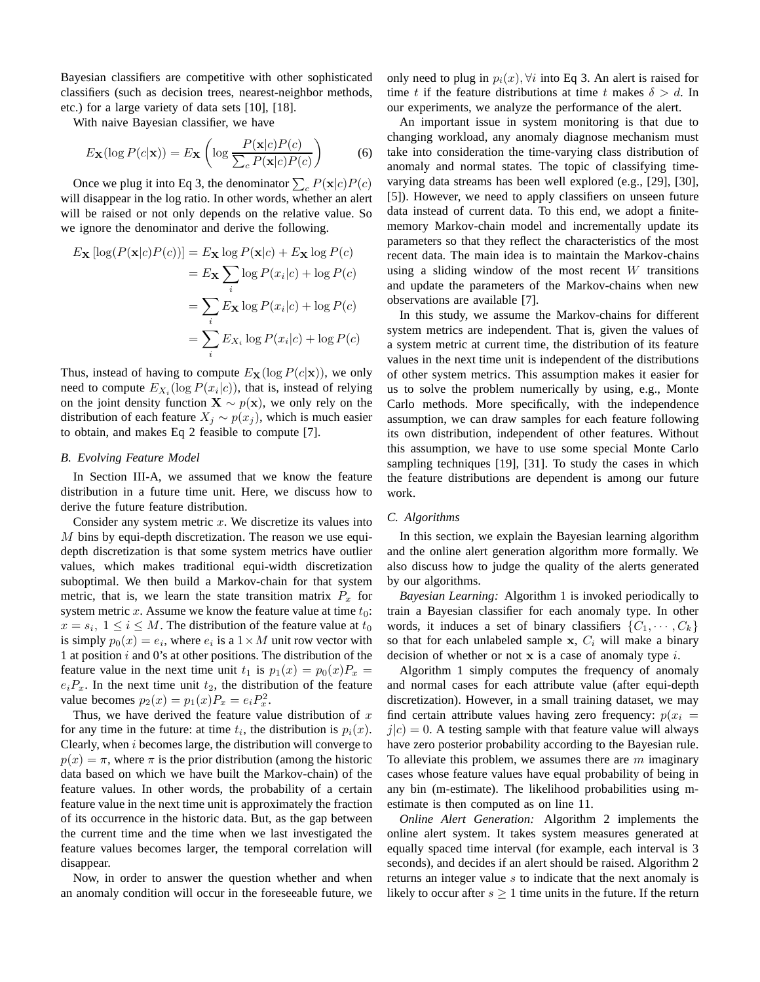Bayesian classifiers are competitive with other sophisticated classifiers (such as decision trees, nearest-neighbor methods, etc.) for a large variety of data sets [10], [18].

With naive Bayesian classifier, we have

$$
E_{\mathbf{X}}(\log P(c|\mathbf{x})) = E_{\mathbf{X}}\left(\log \frac{P(\mathbf{x}|c)P(c)}{\sum_{c} P(\mathbf{x}|c)P(c)}\right)
$$
(6)

Once we plug it into Eq 3, the denominator  $\sum_{c} P(\mathbf{x}|c) P(c)$ will disappear in the log ratio. In other words, whether an alert will be raised or not only depends on the relative value. So we ignore the denominator and derive the following.

$$
E_{\mathbf{X}}\left[\log(P(\mathbf{x}|c)P(c))\right] = E_{\mathbf{X}}\log P(\mathbf{x}|c) + E_{\mathbf{X}}\log P(c)
$$

$$
= E_{\mathbf{X}}\sum_{i}\log P(x_{i}|c) + \log P(c)
$$

$$
= \sum_{i} E_{\mathbf{X}}\log P(x_{i}|c) + \log P(c)
$$

$$
= \sum_{i} E_{X_{i}}\log P(x_{i}|c) + \log P(c)
$$

Thus, instead of having to compute  $E_{\mathbf{X}}(\log P(c|\mathbf{x}))$ , we only need to compute  $E_{X_i}(\log P(x_i|c))$ , that is, instead of relying on the joint density function  $X \sim p(x)$ , we only rely on the distribution of each feature  $X_j \sim p(x_j)$ , which is much easier to obtain, and makes Eq 2 feasible to compute [7].

## *B. Evolving Feature Model*

In Section III-A, we assumed that we know the feature distribution in a future time unit. Here, we discuss how to derive the future feature distribution.

Consider any system metric  $x$ . We discretize its values into M bins by equi-depth discretization. The reason we use equidepth discretization is that some system metrics have outlier values, which makes traditional equi-width discretization suboptimal. We then build a Markov-chain for that system metric, that is, we learn the state transition matrix  $P_x$  for system metric x. Assume we know the feature value at time  $t_0$ :  $x = s_i$ ,  $1 \le i \le M$ . The distribution of the feature value at  $t_0$ is simply  $p_0(x) = e_i$ , where  $e_i$  is a  $1 \times M$  unit row vector with 1 at position  $i$  and  $0$ 's at other positions. The distribution of the feature value in the next time unit  $t_1$  is  $p_1(x) = p_0(x)P_x$  $e_iP_x$ . In the next time unit  $t_2$ , the distribution of the feature value becomes  $p_2(x) = p_1(x)P_x = e_i P_x^2$ .

Thus, we have derived the feature value distribution of  $x$ for any time in the future: at time  $t_i$ , the distribution is  $p_i(x)$ . Clearly, when i becomes large, the distribution will converge to  $p(x) = \pi$ , where  $\pi$  is the prior distribution (among the historic data based on which we have built the Markov-chain) of the feature values. In other words, the probability of a certain feature value in the next time unit is approximately the fraction of its occurrence in the historic data. But, as the gap between the current time and the time when we last investigated the feature values becomes larger, the temporal correlation will disappear.

Now, in order to answer the question whether and when an anomaly condition will occur in the foreseeable future, we only need to plug in  $p_i(x)$ ,  $\forall i$  into Eq 3. An alert is raised for time t if the feature distributions at time t makes  $\delta > d$ . In our experiments, we analyze the performance of the alert.

An important issue in system monitoring is that due to changing workload, any anomaly diagnose mechanism must take into consideration the time-varying class distribution of anomaly and normal states. The topic of classifying timevarying data streams has been well explored (e.g., [29], [30], [5]). However, we need to apply classifiers on unseen future data instead of current data. To this end, we adopt a finitememory Markov-chain model and incrementally update its parameters so that they reflect the characteristics of the most recent data. The main idea is to maintain the Markov-chains using a sliding window of the most recent  $W$  transitions and update the parameters of the Markov-chains when new observations are available [7].

In this study, we assume the Markov-chains for different system metrics are independent. That is, given the values of a system metric at current time, the distribution of its feature values in the next time unit is independent of the distributions of other system metrics. This assumption makes it easier for us to solve the problem numerically by using, e.g., Monte Carlo methods. More specifically, with the independence assumption, we can draw samples for each feature following its own distribution, independent of other features. Without this assumption, we have to use some special Monte Carlo sampling techniques [19], [31]. To study the cases in which the feature distributions are dependent is among our future work.

## *C. Algorithms*

In this section, we explain the Bayesian learning algorithm and the online alert generation algorithm more formally. We also discuss how to judge the quality of the alerts generated by our algorithms.

*Bayesian Learning:* Algorithm 1 is invoked periodically to train a Bayesian classifier for each anomaly type. In other words, it induces a set of binary classifiers  $\{C_1, \dots, C_k\}$ so that for each unlabeled sample x,  $C_i$  will make a binary decision of whether or not  $x$  is a case of anomaly type  $i$ .

Algorithm 1 simply computes the frequency of anomaly and normal cases for each attribute value (after equi-depth discretization). However, in a small training dataset, we may find certain attribute values having zero frequency:  $p(x_i)$  $j|c| = 0$ . A testing sample with that feature value will always have zero posterior probability according to the Bayesian rule. To alleviate this problem, we assumes there are  $m$  imaginary cases whose feature values have equal probability of being in any bin (m-estimate). The likelihood probabilities using mestimate is then computed as on line 11.

*Online Alert Generation:* Algorithm 2 implements the online alert system. It takes system measures generated at equally spaced time interval (for example, each interval is 3 seconds), and decides if an alert should be raised. Algorithm 2 returns an integer value  $s$  to indicate that the next anomaly is likely to occur after  $s \geq 1$  time units in the future. If the return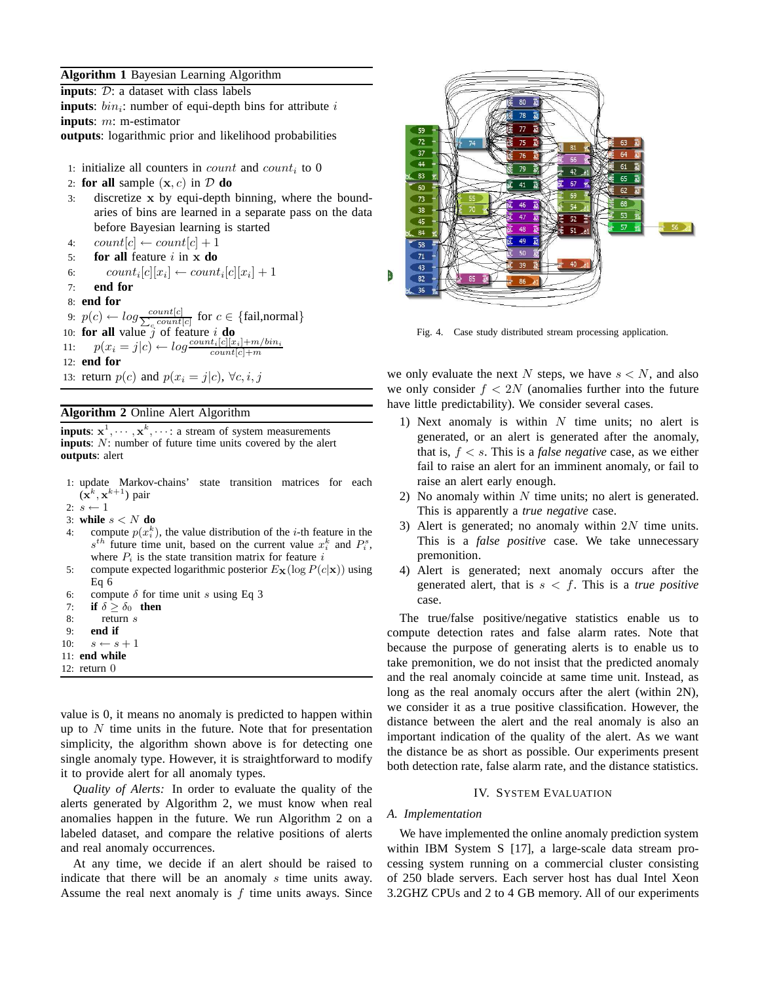## **Algorithm 1** Bayesian Learning Algorithm

**inputs**: D: a dataset with class labels **inputs**:  $\text{bin}_{i}$ : number of equi-depth bins for attribute  $i$ **inputs**: *m*: m-estimator

**outputs**: logarithmic prior and likelihood probabilities

- 1: initialize all counters in *count* and *count<sub>i</sub>* to 0
- 2: **for all** sample  $(x, c)$  in  $D$  **do**
- 3: discretize x by equi-depth binning, where the boundaries of bins are learned in a separate pass on the data before Bayesian learning is started

4:  $count[c] \leftarrow count[c] + 1$ 

- 5: **for all** feature i in x **do**
- 6:  $count_i[c][x_i] \leftarrow count_i[c][x_i] + 1$
- 7: **end for**
- 8: **end for**

9:  $p(c) \leftarrow log \frac{count[c]}{\sum_{c} count[c]}$  for  $c \in \{\text{fail,normal}\}$ 10: **for all** value  $\overrightarrow{j}$  of feature  $i$  **do** 11:  $p(x_i = j|c) \leftarrow log \frac{count_i[c][x_i] + m/bin_i}{count[c]+m}$ 12: **end for** 13: return  $p(c)$  and  $p(x_i = j|c)$ ,  $\forall c, i, j$ 

## **Algorithm 2** Online Alert Algorithm

**inputs**:  $x^1, \dots, x^k, \dots$ : a stream of system measurements **inputs**: N: number of future time units covered by the alert **outputs**: alert

- 1: update Markov-chains' state transition matrices for each  $(\mathbf{x}^k, \mathbf{x}^{k+1})$  pair
- 2:  $s \leftarrow 1$
- 3: **while** s < N **do**
- 4: compute  $p(x_i^k)$ , the value distribution of the *i*-th feature in the  $s^{th}$  future time unit, based on the current value  $x_i^k$  and  $P_i^s$ , where  $P_i$  is the state transition matrix for feature i
- 5: compute expected logarithmic posterior  $E_{\mathbf{X}}(\log P(c|\mathbf{x}))$  using Eq 6
- 6: compute  $\delta$  for time unit s using Eq 3
- 7: **if**  $\delta \ge \delta_0$  **then**<br>8: **return** *s*
- return s
- 9: **end if**
- 10:  $s \leftarrow s + 1$ 11: **end while**
- 
- 12: return 0

value is 0, it means no anomaly is predicted to happen within up to  $N$  time units in the future. Note that for presentation simplicity, the algorithm shown above is for detecting one single anomaly type. However, it is straightforward to modify it to provide alert for all anomaly types.

*Quality of Alerts:* In order to evaluate the quality of the alerts generated by Algorithm 2, we must know when real anomalies happen in the future. We run Algorithm 2 on a labeled dataset, and compare the relative positions of alerts and real anomaly occurrences.

At any time, we decide if an alert should be raised to indicate that there will be an anomaly  $s$  time units away. Assume the real next anomaly is  $f$  time units aways. Since



Fig. 4. Case study distributed stream processing application.

we only evaluate the next N steps, we have  $s < N$ , and also we only consider  $f < 2N$  (anomalies further into the future have little predictability). We consider several cases.

- 1) Next anomaly is within  $N$  time units; no alert is generated, or an alert is generated after the anomaly, that is,  $f < s$ . This is a *false negative* case, as we either fail to raise an alert for an imminent anomaly, or fail to raise an alert early enough.
- 2) No anomaly within  $N$  time units; no alert is generated. This is apparently a *true negative* case.
- 3) Alert is generated; no anomaly within  $2N$  time units. This is a *false positive* case. We take unnecessary premonition.
- 4) Alert is generated; next anomaly occurs after the generated alert, that is  $s < f$ . This is a *true positive* case.

The true/false positive/negative statistics enable us to compute detection rates and false alarm rates. Note that because the purpose of generating alerts is to enable us to take premonition, we do not insist that the predicted anomaly and the real anomaly coincide at same time unit. Instead, as long as the real anomaly occurs after the alert (within 2N), we consider it as a true positive classification. However, the distance between the alert and the real anomaly is also an important indication of the quality of the alert. As we want the distance be as short as possible. Our experiments present both detection rate, false alarm rate, and the distance statistics.

## IV. SYSTEM EVALUATION

### *A. Implementation*

We have implemented the online anomaly prediction system within IBM System S [17], a large-scale data stream processing system running on a commercial cluster consisting of 250 blade servers. Each server host has dual Intel Xeon 3.2GHZ CPUs and 2 to 4 GB memory. All of our experiments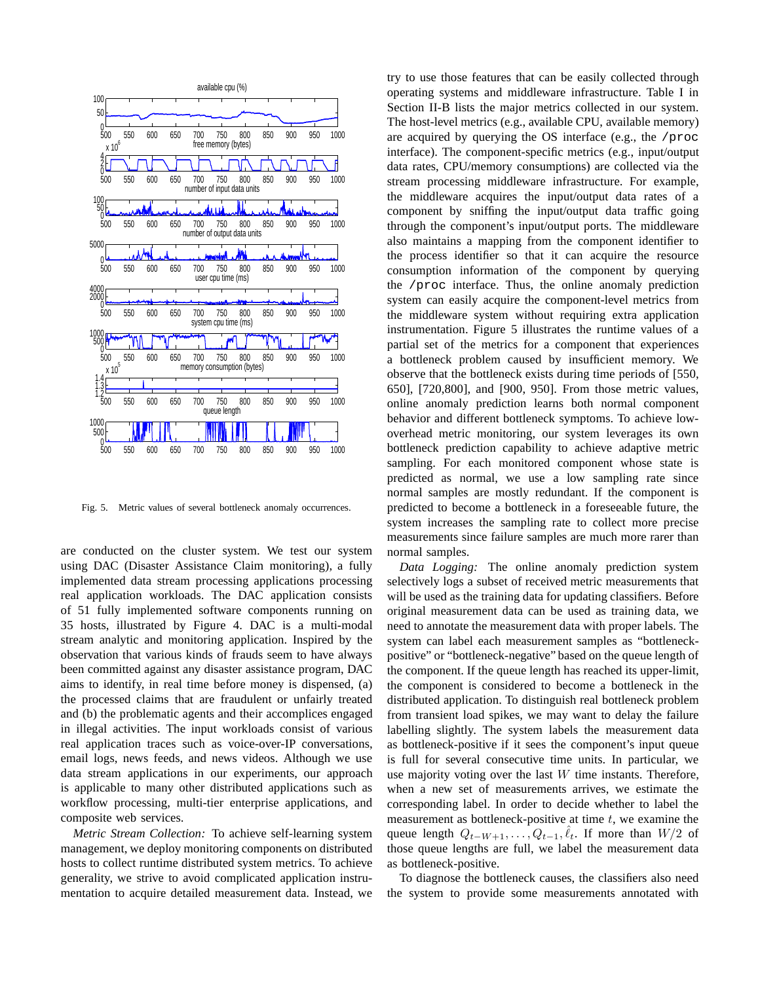

Fig. 5. Metric values of several bottleneck anomaly occurrences.

are conducted on the cluster system. We test our system using DAC (Disaster Assistance Claim monitoring), a fully implemented data stream processing applications processing real application workloads. The DAC application consists of 51 fully implemented software components running on 35 hosts, illustrated by Figure 4. DAC is a multi-modal stream analytic and monitoring application. Inspired by the observation that various kinds of frauds seem to have always been committed against any disaster assistance program, DAC aims to identify, in real time before money is dispensed, (a) the processed claims that are fraudulent or unfairly treated and (b) the problematic agents and their accomplices engaged in illegal activities. The input workloads consist of various real application traces such as voice-over-IP conversations, email logs, news feeds, and news videos. Although we use data stream applications in our experiments, our approach is applicable to many other distributed applications such as workflow processing, multi-tier enterprise applications, and composite web services.

*Metric Stream Collection:* To achieve self-learning system management, we deploy monitoring components on distributed hosts to collect runtime distributed system metrics. To achieve generality, we strive to avoid complicated application instrumentation to acquire detailed measurement data. Instead, we

try to use those features that can be easily collected through operating systems and middleware infrastructure. Table I in Section II-B lists the major metrics collected in our system. The host-level metrics (e.g., available CPU, available memory) are acquired by querying the OS interface (e.g., the /proc interface). The component-specific metrics (e.g., input/output data rates, CPU/memory consumptions) are collected via the stream processing middleware infrastructure. For example, the middleware acquires the input/output data rates of a component by sniffing the input/output data traffic going through the component's input/output ports. The middleware also maintains a mapping from the component identifier to the process identifier so that it can acquire the resource consumption information of the component by querying the /proc interface. Thus, the online anomaly prediction system can easily acquire the component-level metrics from the middleware system without requiring extra application instrumentation. Figure 5 illustrates the runtime values of a partial set of the metrics for a component that experiences a bottleneck problem caused by insufficient memory. We observe that the bottleneck exists during time periods of [550, 650], [720,800], and [900, 950]. From those metric values, online anomaly prediction learns both normal component behavior and different bottleneck symptoms. To achieve lowoverhead metric monitoring, our system leverages its own bottleneck prediction capability to achieve adaptive metric sampling. For each monitored component whose state is predicted as normal, we use a low sampling rate since normal samples are mostly redundant. If the component is predicted to become a bottleneck in a foreseeable future, the system increases the sampling rate to collect more precise measurements since failure samples are much more rarer than normal samples.

*Data Logging:* The online anomaly prediction system selectively logs a subset of received metric measurements that will be used as the training data for updating classifiers. Before original measurement data can be used as training data, we need to annotate the measurement data with proper labels. The system can label each measurement samples as "bottleneckpositive" or "bottleneck-negative" based on the queue length of the component. If the queue length has reached its upper-limit, the component is considered to become a bottleneck in the distributed application. To distinguish real bottleneck problem from transient load spikes, we may want to delay the failure labelling slightly. The system labels the measurement data as bottleneck-positive if it sees the component's input queue is full for several consecutive time units. In particular, we use majority voting over the last  $W$  time instants. Therefore, when a new set of measurements arrives, we estimate the corresponding label. In order to decide whether to label the measurement as bottleneck-positive at time  $t$ , we examine the queue length  $Q_{t-W+1}, \ldots, Q_{t-1}, \hat{\ell}_t$ . If more than  $W/2$  of those queue lengths are full, we label the measurement data as bottleneck-positive.

To diagnose the bottleneck causes, the classifiers also need the system to provide some measurements annotated with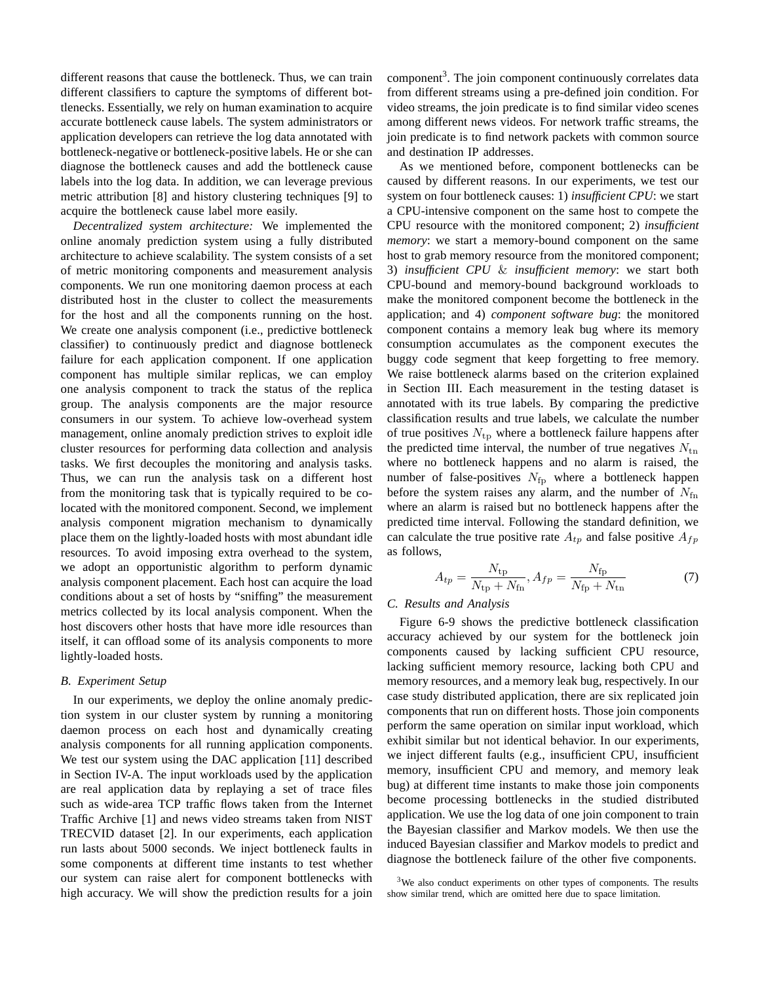different reasons that cause the bottleneck. Thus, we can train different classifiers to capture the symptoms of different bottlenecks. Essentially, we rely on human examination to acquire accurate bottleneck cause labels. The system administrators or application developers can retrieve the log data annotated with bottleneck-negative or bottleneck-positive labels. He or she can diagnose the bottleneck causes and add the bottleneck cause labels into the log data. In addition, we can leverage previous metric attribution [8] and history clustering techniques [9] to acquire the bottleneck cause label more easily.

*Decentralized system architecture:* We implemented the online anomaly prediction system using a fully distributed architecture to achieve scalability. The system consists of a set of metric monitoring components and measurement analysis components. We run one monitoring daemon process at each distributed host in the cluster to collect the measurements for the host and all the components running on the host. We create one analysis component (i.e., predictive bottleneck classifier) to continuously predict and diagnose bottleneck failure for each application component. If one application component has multiple similar replicas, we can employ one analysis component to track the status of the replica group. The analysis components are the major resource consumers in our system. To achieve low-overhead system management, online anomaly prediction strives to exploit idle cluster resources for performing data collection and analysis tasks. We first decouples the monitoring and analysis tasks. Thus, we can run the analysis task on a different host from the monitoring task that is typically required to be colocated with the monitored component. Second, we implement analysis component migration mechanism to dynamically place them on the lightly-loaded hosts with most abundant idle resources. To avoid imposing extra overhead to the system, we adopt an opportunistic algorithm to perform dynamic analysis component placement. Each host can acquire the load conditions about a set of hosts by "sniffing" the measurement metrics collected by its local analysis component. When the host discovers other hosts that have more idle resources than itself, it can offload some of its analysis components to more lightly-loaded hosts.

## *B. Experiment Setup*

In our experiments, we deploy the online anomaly prediction system in our cluster system by running a monitoring daemon process on each host and dynamically creating analysis components for all running application components. We test our system using the DAC application [11] described in Section IV-A. The input workloads used by the application are real application data by replaying a set of trace files such as wide-area TCP traffic flows taken from the Internet Traffic Archive [1] and news video streams taken from NIST TRECVID dataset [2]. In our experiments, each application run lasts about 5000 seconds. We inject bottleneck faults in some components at different time instants to test whether our system can raise alert for component bottlenecks with high accuracy. We will show the prediction results for a join

component<sup>3</sup>. The join component continuously correlates data from different streams using a pre-defined join condition. For video streams, the join predicate is to find similar video scenes among different news videos. For network traffic streams, the join predicate is to find network packets with common source and destination IP addresses.

As we mentioned before, component bottlenecks can be caused by different reasons. In our experiments, we test our system on four bottleneck causes: 1) *insufficient CPU*: we start a CPU-intensive component on the same host to compete the CPU resource with the monitored component; 2) *insufficient memory*: we start a memory-bound component on the same host to grab memory resource from the monitored component; 3) *insufficient CPU* & *insufficient memory*: we start both CPU-bound and memory-bound background workloads to make the monitored component become the bottleneck in the application; and 4) *component software bug*: the monitored component contains a memory leak bug where its memory consumption accumulates as the component executes the buggy code segment that keep forgetting to free memory. We raise bottleneck alarms based on the criterion explained in Section III. Each measurement in the testing dataset is annotated with its true labels. By comparing the predictive classification results and true labels, we calculate the number of true positives  $N_{\text{tp}}$  where a bottleneck failure happens after the predicted time interval, the number of true negatives  $N_{\text{tn}}$ where no bottleneck happens and no alarm is raised, the number of false-positives  $N_{\text{fp}}$  where a bottleneck happen before the system raises any alarm, and the number of  $N_{\text{fn}}$ where an alarm is raised but no bottleneck happens after the predicted time interval. Following the standard definition, we can calculate the true positive rate  $A_{tp}$  and false positive  $A_{fp}$ as follows,

$$
A_{tp} = \frac{N_{\rm tp}}{N_{\rm tp} + N_{\rm fn}}, A_{fp} = \frac{N_{\rm fp}}{N_{\rm fp} + N_{\rm tn}}
$$
(7)

## *C. Results and Analysis*

Figure 6-9 shows the predictive bottleneck classification accuracy achieved by our system for the bottleneck join components caused by lacking sufficient CPU resource, lacking sufficient memory resource, lacking both CPU and memory resources, and a memory leak bug, respectively. In our case study distributed application, there are six replicated join components that run on different hosts. Those join components perform the same operation on similar input workload, which exhibit similar but not identical behavior. In our experiments, we inject different faults (e.g., insufficient CPU, insufficient memory, insufficient CPU and memory, and memory leak bug) at different time instants to make those join components become processing bottlenecks in the studied distributed application. We use the log data of one join component to train the Bayesian classifier and Markov models. We then use the induced Bayesian classifier and Markov models to predict and diagnose the bottleneck failure of the other five components.

<sup>3</sup>We also conduct experiments on other types of components. The results show similar trend, which are omitted here due to space limitation.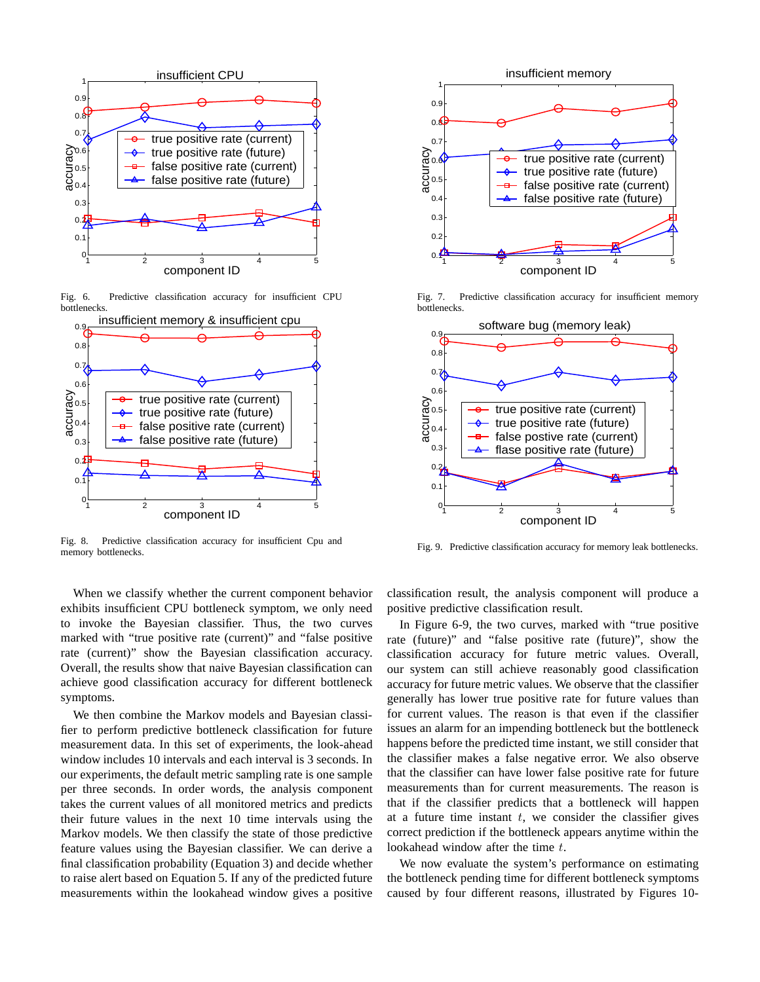

Fig. 6. Predictive classification accuracy for insufficient CPU bottleneck



Fig. 8. Predictive classification accuracy for insufficient Cpu and memory bottlenecks.

When we classify whether the current component behavior exhibits insufficient CPU bottleneck symptom, we only need to invoke the Bayesian classifier. Thus, the two curves marked with "true positive rate (current)" and "false positive rate (current)" show the Bayesian classification accuracy. Overall, the results show that naive Bayesian classification can achieve good classification accuracy for different bottleneck symptoms.

We then combine the Markov models and Bayesian classifier to perform predictive bottleneck classification for future measurement data. In this set of experiments, the look-ahead window includes 10 intervals and each interval is 3 seconds. In our experiments, the default metric sampling rate is one sample per three seconds. In order words, the analysis component takes the current values of all monitored metrics and predicts their future values in the next 10 time intervals using the Markov models. We then classify the state of those predictive feature values using the Bayesian classifier. We can derive a final classification probability (Equation 3) and decide whether to raise alert based on Equation 5. If any of the predicted future measurements within the lookahead window gives a positive



Fig. 7. Predictive classification accuracy for insufficient memory bottlenecks.



Fig. 9. Predictive classification accuracy for memory leak bottlenecks.

classification result, the analysis component will produce a positive predictive classification result.

In Figure 6-9, the two curves, marked with "true positive rate (future)" and "false positive rate (future)", show the classification accuracy for future metric values. Overall, our system can still achieve reasonably good classification accuracy for future metric values. We observe that the classifier generally has lower true positive rate for future values than for current values. The reason is that even if the classifier issues an alarm for an impending bottleneck but the bottleneck happens before the predicted time instant, we still consider that the classifier makes a false negative error. We also observe that the classifier can have lower false positive rate for future measurements than for current measurements. The reason is that if the classifier predicts that a bottleneck will happen at a future time instant  $t$ , we consider the classifier gives correct prediction if the bottleneck appears anytime within the lookahead window after the time t.

We now evaluate the system's performance on estimating the bottleneck pending time for different bottleneck symptoms caused by four different reasons, illustrated by Figures 10-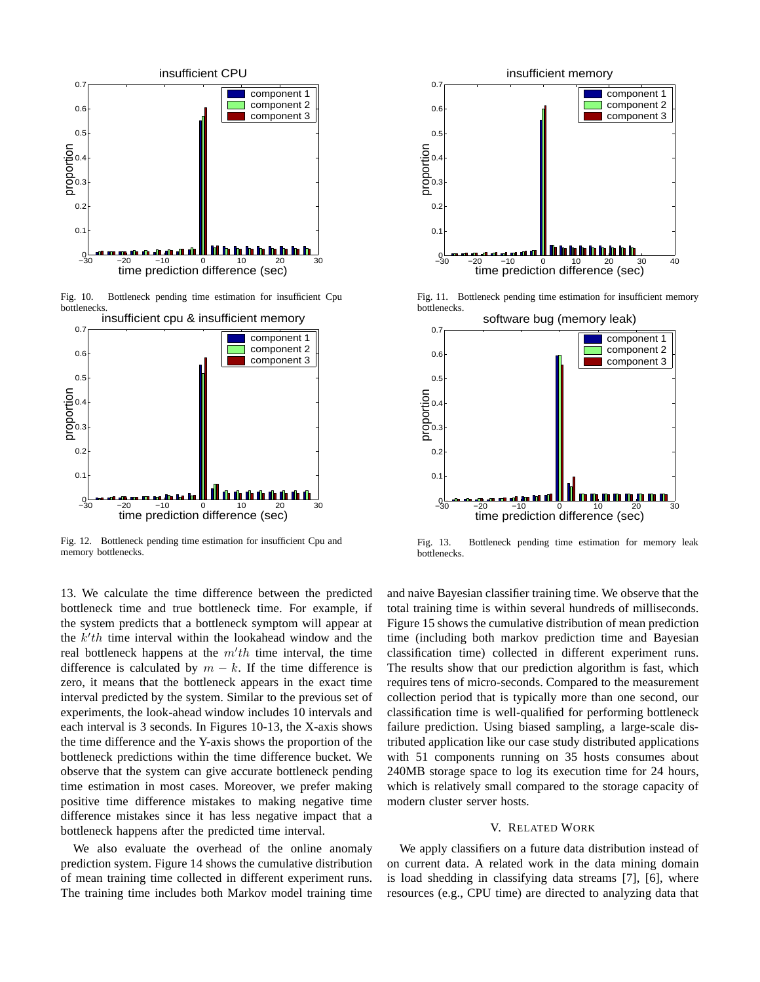

Fig. 10. Bottleneck pending time estimation for insufficient Cpu bottlenecks.



Fig. 12. Bottleneck pending time estimation for insufficient Cpu and memory bottlenecks.

13. We calculate the time difference between the predicted bottleneck time and true bottleneck time. For example, if the system predicts that a bottleneck symptom will appear at the  $k'$ th time interval within the lookahead window and the real bottleneck happens at the  $m'th$  time interval, the time difference is calculated by  $m - k$ . If the time difference is zero, it means that the bottleneck appears in the exact time interval predicted by the system. Similar to the previous set of experiments, the look-ahead window includes 10 intervals and each interval is 3 seconds. In Figures 10-13, the X-axis shows the time difference and the Y-axis shows the proportion of the bottleneck predictions within the time difference bucket. We observe that the system can give accurate bottleneck pending time estimation in most cases. Moreover, we prefer making positive time difference mistakes to making negative time difference mistakes since it has less negative impact that a bottleneck happens after the predicted time interval.

We also evaluate the overhead of the online anomaly prediction system. Figure 14 shows the cumulative distribution of mean training time collected in different experiment runs. The training time includes both Markov model training time



Fig. 11. Bottleneck pending time estimation for insufficient memory bottlenecks.



Fig. 13. Bottleneck pending time estimation for memory leak bottlenecks.

and naive Bayesian classifier training time. We observe that the total training time is within several hundreds of milliseconds. Figure 15 shows the cumulative distribution of mean prediction time (including both markov prediction time and Bayesian classification time) collected in different experiment runs. The results show that our prediction algorithm is fast, which requires tens of micro-seconds. Compared to the measurement collection period that is typically more than one second, our classification time is well-qualified for performing bottleneck failure prediction. Using biased sampling, a large-scale distributed application like our case study distributed applications with 51 components running on 35 hosts consumes about 240MB storage space to log its execution time for 24 hours, which is relatively small compared to the storage capacity of modern cluster server hosts.

## V. RELATED WORK

We apply classifiers on a future data distribution instead of on current data. A related work in the data mining domain is load shedding in classifying data streams [7], [6], where resources (e.g., CPU time) are directed to analyzing data that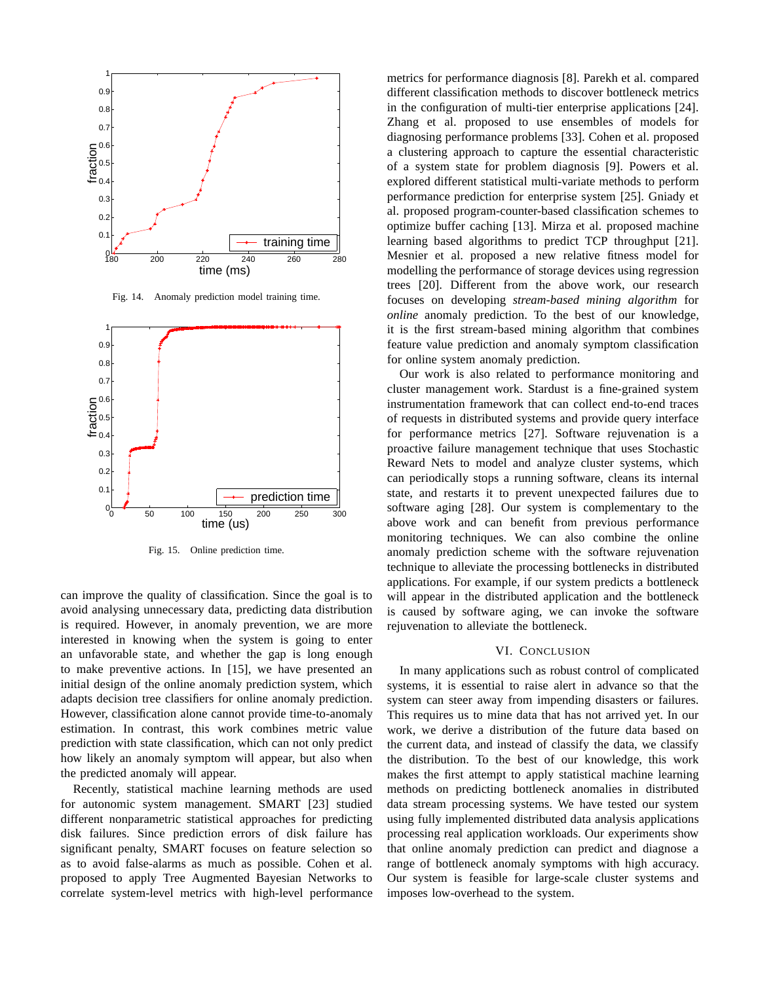

Fig. 14. Anomaly prediction model training time.



Fig. 15. Online prediction time.

can improve the quality of classification. Since the goal is to avoid analysing unnecessary data, predicting data distribution is required. However, in anomaly prevention, we are more interested in knowing when the system is going to enter an unfavorable state, and whether the gap is long enough to make preventive actions. In [15], we have presented an initial design of the online anomaly prediction system, which adapts decision tree classifiers for online anomaly prediction. However, classification alone cannot provide time-to-anomaly estimation. In contrast, this work combines metric value prediction with state classification, which can not only predict how likely an anomaly symptom will appear, but also when the predicted anomaly will appear.

Recently, statistical machine learning methods are used for autonomic system management. SMART [23] studied different nonparametric statistical approaches for predicting disk failures. Since prediction errors of disk failure has significant penalty, SMART focuses on feature selection so as to avoid false-alarms as much as possible. Cohen et al. proposed to apply Tree Augmented Bayesian Networks to correlate system-level metrics with high-level performance metrics for performance diagnosis [8]. Parekh et al. compared different classification methods to discover bottleneck metrics in the configuration of multi-tier enterprise applications [24]. Zhang et al. proposed to use ensembles of models for diagnosing performance problems [33]. Cohen et al. proposed a clustering approach to capture the essential characteristic of a system state for problem diagnosis [9]. Powers et al. explored different statistical multi-variate methods to perform performance prediction for enterprise system [25]. Gniady et al. proposed program-counter-based classification schemes to optimize buffer caching [13]. Mirza et al. proposed machine learning based algorithms to predict TCP throughput [21]. Mesnier et al. proposed a new relative fitness model for modelling the performance of storage devices using regression trees [20]. Different from the above work, our research focuses on developing *stream-based mining algorithm* for *online* anomaly prediction. To the best of our knowledge, it is the first stream-based mining algorithm that combines feature value prediction and anomaly symptom classification for online system anomaly prediction.

Our work is also related to performance monitoring and cluster management work. Stardust is a fine-grained system instrumentation framework that can collect end-to-end traces of requests in distributed systems and provide query interface for performance metrics [27]. Software rejuvenation is a proactive failure management technique that uses Stochastic Reward Nets to model and analyze cluster systems, which can periodically stops a running software, cleans its internal state, and restarts it to prevent unexpected failures due to software aging [28]. Our system is complementary to the above work and can benefit from previous performance monitoring techniques. We can also combine the online anomaly prediction scheme with the software rejuvenation technique to alleviate the processing bottlenecks in distributed applications. For example, if our system predicts a bottleneck will appear in the distributed application and the bottleneck is caused by software aging, we can invoke the software rejuvenation to alleviate the bottleneck.

#### VI. CONCLUSION

In many applications such as robust control of complicated systems, it is essential to raise alert in advance so that the system can steer away from impending disasters or failures. This requires us to mine data that has not arrived yet. In our work, we derive a distribution of the future data based on the current data, and instead of classify the data, we classify the distribution. To the best of our knowledge, this work makes the first attempt to apply statistical machine learning methods on predicting bottleneck anomalies in distributed data stream processing systems. We have tested our system using fully implemented distributed data analysis applications processing real application workloads. Our experiments show that online anomaly prediction can predict and diagnose a range of bottleneck anomaly symptoms with high accuracy. Our system is feasible for large-scale cluster systems and imposes low-overhead to the system.